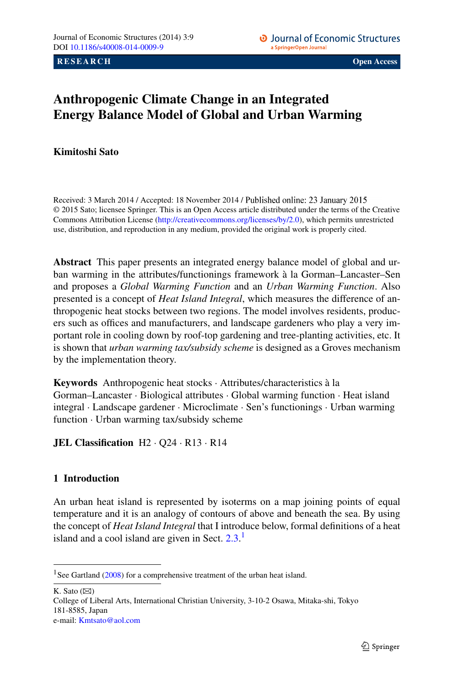**RESEARCH** Open Access **CONTRACTES AND ACCESS** 

# **Anthropogenic Climate Change in an Integrated Energy Balance Model of Global and Urban Warming**

**Kimitoshi Sato**

Received: 3 March 2014 / Accepted: 18 November 2014 / Published online: 23 January 2015 © 2015 Sato; licensee Springer. This is an Open Access article distributed under the terms of the Creative Commons Attribution License [\(http://creativecommons.org/licenses/by/2.0\)](http://creativecommons.org/licenses/by/2.0), which permits unrestricted use, distribution, and reproduction in any medium, provided the original work is properly cited.

**Abstract** This paper presents an integrated energy balance model of global and urban warming in the attributes/functionings framework à la Gorman–Lancaster–Sen and proposes a *Global Warming Function* and an *Urban Warming Function*. Also presented is a concept of *Heat Island Integral*, which measures the difference of anthropogenic heat stocks between two regions. The model involves residents, producers such as offices and manufacturers, and landscape gardeners who play a very important role in cooling down by roof-top gardening and tree-planting activities, etc. It is shown that *urban warming tax/subsidy scheme* is designed as a Groves mechanism by the implementation theory.

**Keywords** Anthropogenic heat stocks · Attributes/characteristics à la Gorman–Lancaster · Biological attributes · Global warming function · Heat island integral · Landscape gardener · Microclimate · Sen's functionings · Urban warming function · Urban warming tax/subsidy scheme

## **JEL Classification** H2 · Q24 · R13 · R14

# <span id="page-0-0"></span>**1 Introduction**

An urban heat island is represented by isoterms on a map joining points of equal temperature and it is an analogy of contours of above and beneath the sea. By using the concept of *Heat Island Integral* that I introduce below, formal definitions of a heat island and a cool island are given in Sect.  $2.3$ .<sup>[1](#page-0-0)</sup>

K. Sato  $(\boxtimes)$ 

<sup>&</sup>lt;sup>1</sup>See Gartland ( $2008$ ) for a comprehensive treatment of the urban heat island.

College of Liberal Arts, International Christian University, 3-10-2 Osawa, Mitaka-shi, Tokyo 181-8585, Japan e-mail: [Kmtsato@aol.com](mailto:Kmtsato@aol.com)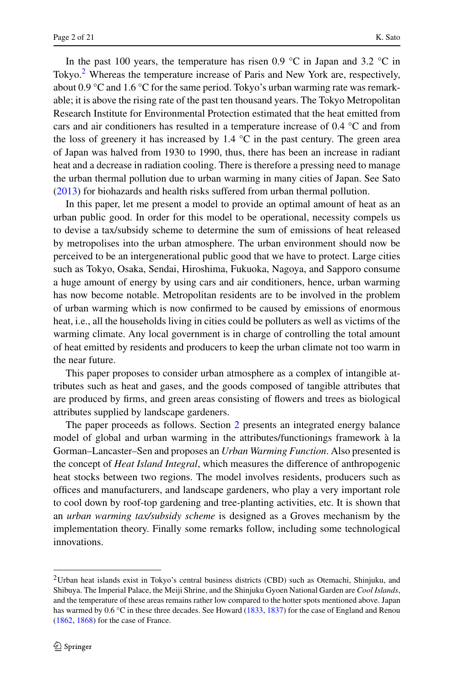In the past 100 years, the temperature has risen 0.9 °C in Japan and 3.2 °C in Tokyo.<sup>2</sup> Whereas the temperature increase of Paris and New York are, respectively, about 0.9 °C and 1.6 °C for the same period. Tokyo's urban warming rate was remarkable; it is above the rising rate of the past ten thousand years. The Tokyo Metropolitan Research Institute for Environmental Protection estimated that the heat emitted from cars and air conditioners has resulted in a temperature increase of 0.4 °C and from the loss of greenery it has increased by 1.4  $^{\circ}$ C in the past century. The green area of Japan was halved from 1930 to 1990, thus, there has been an increase in radiant heat and a decrease in radiation cooling. There is therefore a pressing need to manage the urban thermal pollution due to urban warming in many cities of Japan. See Sato [\(2013](#page-20-0)) for biohazards and health risks suffered from urban thermal pollution.

In this paper, let me present a model to provide an optimal amount of heat as an urban public good. In order for this model to be operational, necessity compels us to devise a tax/subsidy scheme to determine the sum of emissions of heat released by metropolises into the urban atmosphere. The urban environment should now be perceived to be an intergenerational public good that we have to protect. Large cities such as Tokyo, Osaka, Sendai, Hiroshima, Fukuoka, Nagoya, and Sapporo consume a huge amount of energy by using cars and air conditioners, hence, urban warming has now become notable. Metropolitan residents are to be involved in the problem of urban warming which is now confirmed to be caused by emissions of enormous heat, i.e., all the households living in cities could be polluters as well as victims of the warming climate. Any local government is in charge of controlling the total amount of heat emitted by residents and producers to keep the urban climate not too warm in the near future.

This paper proposes to consider urban atmosphere as a complex of intangible attributes such as heat and gases, and the goods composed of tangible attributes that are produced by firms, and green areas consisting of flowers and trees as biological attributes supplied by landscape gardeners.

<span id="page-1-0"></span>The paper proceeds as follows. Section [2](#page-2-0) presents an integrated energy balance model of global and urban warming in the attributes/functionings framework à la Gorman–Lancaster–Sen and proposes an *Urban Warming Function*. Also presented is the concept of *Heat Island Integral*, which measures the difference of anthropogenic heat stocks between two regions. The model involves residents, producers such as offices and manufacturers, and landscape gardeners, who play a very important role to cool down by roof-top gardening and tree-planting activities, etc. It is shown that an *urban warming tax/subsidy scheme* is designed as a Groves mechanism by the implementation theory. Finally some remarks follow, including some technological innovations.

<sup>2</sup>Urban heat islands exist in Tokyo's central business districts (CBD) such as Otemachi, Shinjuku, and Shibuya. The Imperial Palace, the Meiji Shrine, and the Shinjuku Gyoen National Garden are *Cool Islands*, and the temperature of these areas remains rather low compared to the hotter spots mentioned above. Japan has warmed by 0.6 °C in these three decades. See Howard [\(1833](#page-20-1), [1837](#page-20-2)) for the case of England and Renou [\(1862](#page-20-3), [1868](#page-20-4)) for the case of France.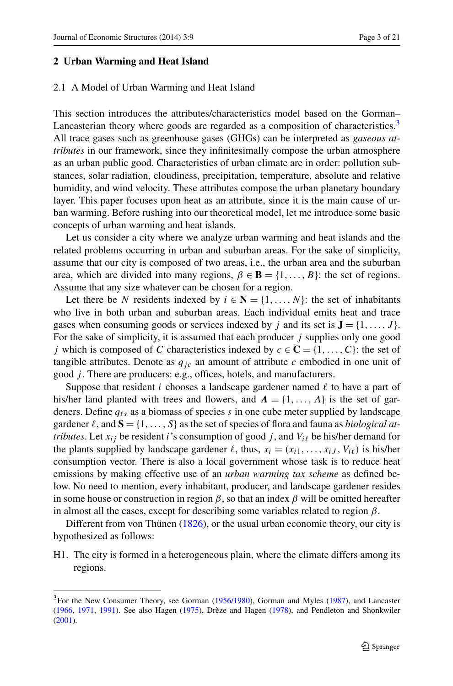#### <span id="page-2-2"></span><span id="page-2-0"></span>**2 Urban Warming and Heat Island**

#### 2.1 A Model of Urban Warming and Heat Island

This section introduces the attributes/characteristics model based on the Gorman– Lancasterian theory where goods are regarded as a composition of characteristics.<sup>[3](#page-2-1)</sup> All trace gases such as greenhouse gases (GHGs) can be interpreted as *gaseous attributes* in our framework, since they infinitesimally compose the urban atmosphere as an urban public good. Characteristics of urban climate are in order: pollution substances, solar radiation, cloudiness, precipitation, temperature, absolute and relative humidity, and wind velocity. These attributes compose the urban planetary boundary layer. This paper focuses upon heat as an attribute, since it is the main cause of urban warming. Before rushing into our theoretical model, let me introduce some basic concepts of urban warming and heat islands.

Let us consider a city where we analyze urban warming and heat islands and the related problems occurring in urban and suburban areas. For the sake of simplicity, assume that our city is composed of two areas, i.e., the urban area and the suburban area, which are divided into many regions,  $\beta \in \mathbf{B} = \{1, ..., B\}$ : the set of regions. Assume that any size whatever can be chosen for a region.

Let there be *N* residents indexed by  $i \in \mathbb{N} = \{1, ..., N\}$ : the set of inhabitants who live in both urban and suburban areas. Each individual emits heat and trace gases when consuming goods or services indexed by *j* and its set is  $J = \{1, \ldots, J\}$ . For the sake of simplicity, it is assumed that each producer *j* supplies only one good *j* which is composed of *C* characteristics indexed by  $c \in \mathbb{C} = \{1, ..., C\}$ : the set of tangible attributes. Denote as  $q_{ic}$  an amount of attribute  $c$  embodied in one unit of good *j* . There are producers: e.g., offices, hotels, and manufacturers.

Suppose that resident *i* chooses a landscape gardener named  $\ell$  to have a part of his/her land planted with trees and flowers, and  $\Lambda = \{1, \ldots, \Lambda\}$  is the set of gardeners. Define  $q_{\ell s}$  as a biomass of species *s* in one cube meter supplied by landscape gardener  $\ell$ , and  $S = \{1, ..., S\}$  as the set of species of flora and fauna as *biological attributes*. Let  $x_{ij}$  be resident *i*'s consumption of good *j*, and  $V_{i\ell}$  be his/her demand for the plants supplied by landscape gardener  $\ell$ , thus,  $x_i = (x_{i1}, \ldots, x_{iJ}, V_{i\ell})$  is his/her consumption vector. There is also a local government whose task is to reduce heat emissions by making effective use of an *urban warming tax scheme* as defined below. No need to mention, every inhabitant, producer, and landscape gardener resides in some house or construction in region  $\beta$ , so that an index  $\beta$  will be omitted hereafter in almost all the cases, except for describing some variables related to region *β*.

<span id="page-2-1"></span>Different from von Thünen [\(1826\)](#page-20-5), or the usual urban economic theory, our city is hypothesized as follows:

H1. The city is formed in a heterogeneous plain, where the climate differs among its regions.

<sup>3</sup>For the New Consumer Theory, see Gorman [\(1956/1980\)](#page-20-6), Gorman and Myles [\(1987](#page-20-7)), and Lancaster [\(1966](#page-20-8), [1971](#page-20-9), [1991](#page-20-10)). See also Hagen [\(1975](#page-20-11)), Drèze and Hagen [\(1978\)](#page-19-1), and Pendleton and Shonkwiler [\(2001](#page-20-12)).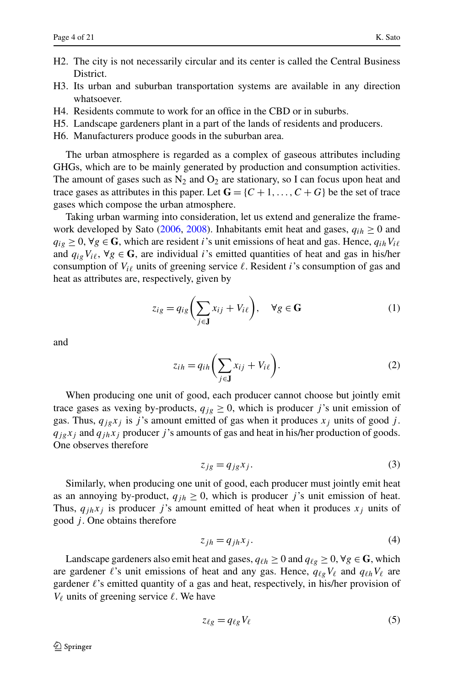- H2. The city is not necessarily circular and its center is called the Central Business District.
- H3. Its urban and suburban transportation systems are available in any direction whatsoever.
- H4. Residents commute to work for an office in the CBD or in suburbs.
- H5. Landscape gardeners plant in a part of the lands of residents and producers.
- H6. Manufacturers produce goods in the suburban area.

The urban atmosphere is regarded as a complex of gaseous attributes including GHGs, which are to be mainly generated by production and consumption activities. The amount of gases such as  $N_2$  and  $O_2$  are stationary, so I can focus upon heat and trace gases as attributes in this paper. Let  $G = \{C + 1, \ldots, C + G\}$  be the set of trace gases which compose the urban atmosphere.

Taking urban warming into consideration, let us extend and generalize the frame-work developed by Sato ([2006](#page-20-13), [2008\)](#page-20-14). Inhabitants emit heat and gases,  $q_{ih} \ge 0$  and  $q_{ig} \ge 0$ ,  $\forall g \in \mathbf{G}$ , which are resident *i*'s unit emissions of heat and gas. Hence,  $q_{ih}V_{i\ell}$ and  $q_{i\varrho}V_{i\ell}$ ,  $\forall g \in \mathbb{G}$ , are individual *i*'s emitted quantities of heat and gas in his/her consumption of  $V_{i\ell}$  units of greening service  $\ell$ . Resident *i*'s consumption of gas and heat as attributes are, respectively, given by

$$
z_{ig} = q_{ig} \left( \sum_{j \in \mathbf{J}} x_{ij} + V_{i\ell} \right), \quad \forall g \in \mathbf{G} \tag{1}
$$

and

$$
z_{ih} = q_{ih} \left( \sum_{j \in \mathbf{J}} x_{ij} + V_{i\ell} \right).
$$
 (2)

When producing one unit of good, each producer cannot choose but jointly emit trace gases as vexing by-products,  $q_{jg} \ge 0$ , which is producer *j*'s unit emission of gas. Thus,  $q_{jgxj}$  is *j*'s amount emitted of gas when it produces  $x_j$  units of good *j*.  $q_{j,g}x_j$  and  $q_{j,h}x_j$  producer *j*'s amounts of gas and heat in his/her production of goods. One observes therefore

$$
z_{jg} = q_{jg} x_j. \tag{3}
$$

Similarly, when producing one unit of good, each producer must jointly emit heat as an annoying by-product,  $q_{ih} \ge 0$ , which is producer *j*'s unit emission of heat. Thus,  $q_{jh}x_j$  is producer *j*'s amount emitted of heat when it produces  $x_j$  units of good *j* . One obtains therefore

$$
z_{jh} = q_{jh}x_j. \tag{4}
$$

Landscape gardeners also emit heat and gases,  $q_{\ell h} \ge 0$  and  $q_{\ell g} \ge 0$ ,  $\forall g \in \mathbb{G}$ , which are gardener  $\ell$ 's unit emissions of heat and any gas. Hence,  $q_{\ell g} V_{\ell}$  and  $q_{\ell h} V_{\ell}$  are gardener  $\ell$ 's emitted quantity of a gas and heat, respectively, in his/her provision of  $V_{\ell}$  units of greening service  $\ell$ . We have

$$
z_{\ell g} = q_{\ell g} V_{\ell} \tag{5}
$$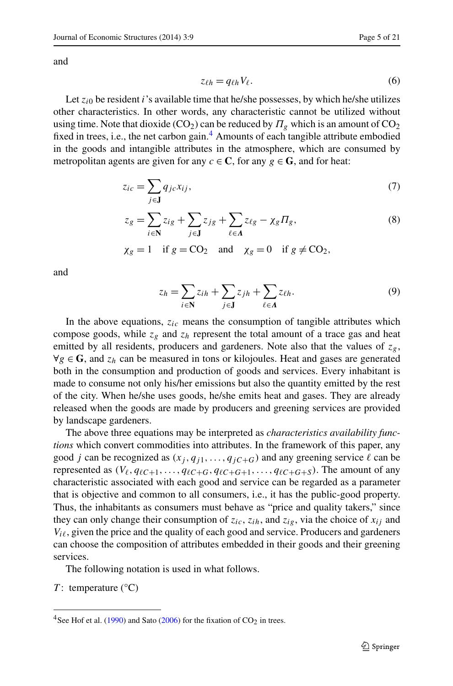$$
z_{\ell h} = q_{\ell h} V_{\ell}.\tag{6}
$$

Let  $z_{i0}$  be resident *i*'s available time that he/she possesses, by which he/she utilizes other characteristics. In other words, any characteristic cannot be utilized without using time. Note that dioxide ( $CO_2$ ) can be reduced by  $\Pi_g$  which is an amount of  $CO_2$ fixed in trees, i.e., the net carbon gain.<sup>[4](#page-4-0)</sup> Amounts of each tangible attribute embodied in the goods and intangible attributes in the atmosphere, which are consumed by metropolitan agents are given for any  $c \in \mathbb{C}$ , for any  $g \in \mathbb{G}$ , and for heat:

$$
z_{ic} = \sum_{j \in \mathbf{J}} q_{jc} x_{ij},\tag{7}
$$

$$
z_g = \sum_{i \in \mathbf{N}} z_{ig} + \sum_{j \in \mathbf{J}} z_{jg} + \sum_{\ell \in \mathbf{\Lambda}} z_{\ell g} - \chi_g \Pi_g, \tag{8}
$$

$$
\chi_g = 1
$$
 if  $g = CO_2$  and  $\chi_g = 0$  if  $g \neq CO_2$ ,

and

$$
z_h = \sum_{i \in \mathbf{N}} z_{ih} + \sum_{j \in \mathbf{J}} z_{jh} + \sum_{\ell \in \Lambda} z_{\ell h}.
$$
 (9)

In the above equations, *zic* means the consumption of tangible attributes which compose goods, while  $z_g$  and  $z_h$  represent the total amount of a trace gas and heat emitted by all residents, producers and gardeners. Note also that the values of *zg*, ∀*g* ∈ **G**, and *zh* can be measured in tons or kilojoules. Heat and gases are generated both in the consumption and production of goods and services. Every inhabitant is made to consume not only his/her emissions but also the quantity emitted by the rest of the city. When he/she uses goods, he/she emits heat and gases. They are already released when the goods are made by producers and greening services are provided by landscape gardeners.

The above three equations may be interpreted as *characteristics availability functions* which convert commodities into attributes. In the framework of this paper, any good *j* can be recognized as  $(x_j, q_{j1}, \ldots, q_{jC+G})$  and any greening service  $\ell$  can be represented as  $(V_{\ell}, q_{\ell\ell+1}, \ldots, q_{\ell\ell+G}, q_{\ell\ell+G+1}, \ldots, q_{\ell\ell+G+S})$ . The amount of any characteristic associated with each good and service can be regarded as a parameter that is objective and common to all consumers, i.e., it has the public-good property. Thus, the inhabitants as consumers must behave as "price and quality takers," since they can only change their consumption of  $z_{ic}$ ,  $z_{ih}$ , and  $z_{ig}$ , via the choice of  $x_{ij}$  and  $V_{i\ell}$ , given the price and the quality of each good and service. Producers and gardeners can choose the composition of attributes embedded in their goods and their greening services.

<span id="page-4-0"></span>The following notation is used in what follows.

*T* : temperature (°C)

<sup>&</sup>lt;sup>4</sup>See Hof et al. ([1990\)](#page-20-15) and Sato ([2006\)](#page-20-13) for the fixation of  $CO_2$  in trees.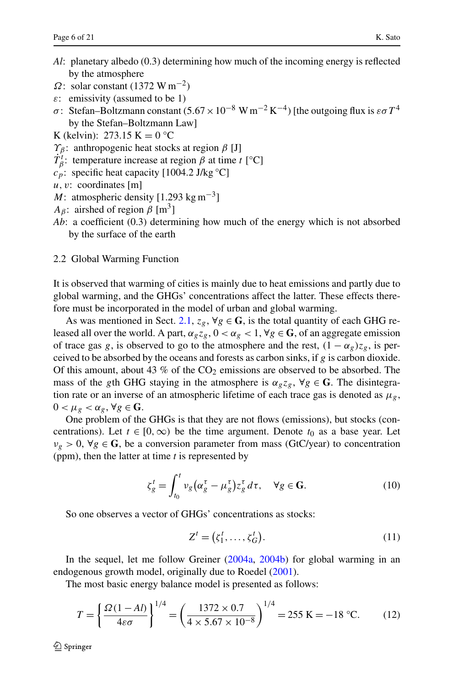- *Al*: planetary albedo (0.3) determining how much of the incoming energy is reflected by the atmosphere
- *Ω*: solar constant (1372 W m<sup>−2</sup>)
- *ε*: emissivity (assumed to be 1)
- *σ* : Stefan–Boltzmann constant  $(5.67 \times 10^{-8}$  W m<sup>-2</sup> K<sup>-4</sup>) [the outgoing flux is *εσ* T<sup>4</sup> by the Stefan–Boltzmann Law]
- K (kelvin): 273.15 K =  $0^{\circ}$ C
- *Υβ* : anthropogenic heat stocks at region *β* [J]
- $\dot{T}_{\beta}^{t}$ : temperature increase at region  $\beta$  at time *t* [°C]
- $c_p$ : specific heat capacity [1004.2 J/kg °C]
- *u,v*: coordinates [m]
- *M*: atmospheric density [1.293 kg m<sup>-3</sup>]
- *A<sub>β</sub>*: airshed of region  $\beta$  [m<sup>3</sup>]
- *Ab*: a coefficient (0.3) determining how much of the energy which is not absorbed by the surface of the earth

## 2.2 Global Warming Function

It is observed that warming of cities is mainly due to heat emissions and partly due to global warming, and the GHGs' concentrations affect the latter. These effects therefore must be incorporated in the model of urban and global warming.

As was mentioned in Sect. [2.1,](#page-2-2)  $z_g$ ,  $\forall g \in \mathbb{G}$ , is the total quantity of each GHG released all over the world. A part,  $\alpha_g z_g$ ,  $0 < \alpha_g < 1$ ,  $\forall g \in \mathbf{G}$ , of an aggregate emission of trace gas *g*, is observed to go to the atmosphere and the rest,  $(1 - \alpha_g)z_g$ , is perceived to be absorbed by the oceans and forests as carbon sinks, if *g* is carbon dioxide. Of this amount, about 43 % of the  $CO<sub>2</sub>$  emissions are observed to be absorbed. The mass of the *g*th GHG staying in the atmosphere is  $\alpha_{g}z_{g}$ ,  $\forall g \in \mathbf{G}$ . The disintegration rate or an inverse of an atmospheric lifetime of each trace gas is denoted as  $\mu_g$ ,  $0 < \mu_g < \alpha_g$ ,  $\forall g \in \mathbf{G}$ .

One problem of the GHGs is that they are not flows (emissions), but stocks (concentrations). Let  $t \in [0, \infty)$  be the time argument. Denote  $t_0$  as a base year. Let  $v_g > 0$ ,  $\forall g \in G$ , be a conversion parameter from mass (GtC/year) to concentration (ppm), then the latter at time *t* is represented by

$$
\zeta_g^t = \int_{t_0}^t \nu_g \left( \alpha_g^\tau - \mu_g^\tau \right) z_g^\tau \, d\tau, \quad \forall g \in \mathbf{G}.\tag{10}
$$

So one observes a vector of GHGs' concentrations as stocks:

$$
Z^t = (\zeta_1^t, \dots, \zeta_G^t). \tag{11}
$$

In the sequel, let me follow Greiner [\(2004a](#page-20-16), [2004b\)](#page-20-17) for global warming in an endogenous growth model, originally due to Roedel ([2001\)](#page-20-18).

The most basic energy balance model is presented as follows:

$$
T = \left\{ \frac{\Omega(1 - Al)}{4\varepsilon\sigma} \right\}^{1/4} = \left( \frac{1372 \times 0.7}{4 \times 5.67 \times 10^{-8}} \right)^{1/4} = 255 \text{ K} = -18 \text{ °C}.
$$
 (12)

 $\mathcal{Q}$  Springer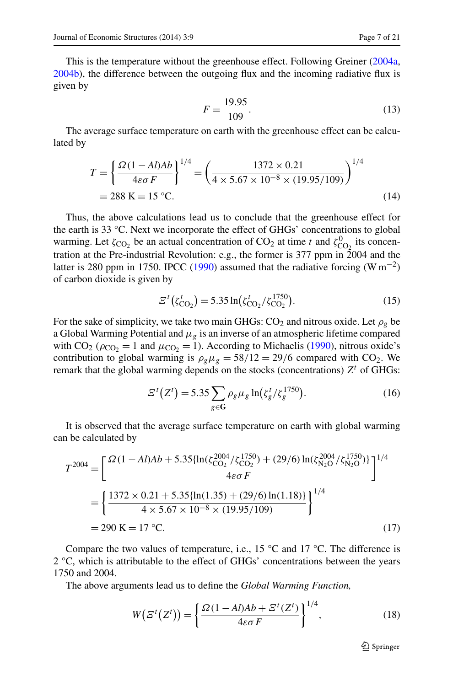This is the temperature without the greenhouse effect. Following Greiner ([2004a](#page-20-16), [2004b\)](#page-20-17), the difference between the outgoing flux and the incoming radiative flux is given by

$$
F = \frac{19.95}{109}.
$$
\n(13)

The average surface temperature on earth with the greenhouse effect can be calculated by

$$
T = \left\{ \frac{\Omega(1 - A I) Ab}{4 \varepsilon \sigma F} \right\}^{1/4} = \left( \frac{1372 \times 0.21}{4 \times 5.67 \times 10^{-8} \times (19.95/109)} \right)^{1/4}
$$
  
= 288 K = 15 °C. (14)

Thus, the above calculations lead us to conclude that the greenhouse effect for the earth is 33 °C. Next we incorporate the effect of GHGs' concentrations to global warming. Let  $\zeta_{\text{CO}_2}$  be an actual concentration of CO<sub>2</sub> at time *t* and  $\zeta_{\text{CO}_2}^0$  its concentration at the Pre-industrial Revolution: e.g., the former is 377 ppm in 2004 and the latter is 280 ppm in 1750. IPCC ([1990\)](#page-20-19) assumed that the radiative forcing (W m<sup>-2</sup>) of carbon dioxide is given by

$$
\mathcal{Z}^t(\zeta_{\text{CO}_2}^t) = 5.35 \ln(\zeta_{\text{CO}_2}^t/\zeta_{\text{CO}_2}^{1750}).\tag{15}
$$

For the sake of simplicity, we take two main GHGs:  $CO<sub>2</sub>$  and nitrous oxide. Let  $\rho<sub>g</sub>$  be a Global Warming Potential and  $\mu_g$  is an inverse of an atmospheric lifetime compared with  $CO_2$  ( $\rho_{CO_2} = 1$  and  $\mu_{CO_2} = 1$ ). According to Michaelis ([1990\)](#page-20-20), nitrous oxide's contribution to global warming is  $\rho_g \mu_g = 58/12 = 29/6$  compared with CO<sub>2</sub>. We remark that the global warming depends on the stocks (concentrations)  $Z<sup>t</sup>$  of GHGs:

$$
\mathcal{Z}^{t}(Z^{t}) = 5.35 \sum_{g \in \mathbf{G}} \rho_{g} \mu_{g} \ln(\zeta_{g}^{t}/\zeta_{g}^{1750}). \tag{16}
$$

It is observed that the average surface temperature on earth with global warming can be calculated by

$$
T^{2004} = \left[ \frac{\Omega (1 - A I) A b + 5.35 \{ \ln(\zeta_{\text{CO}_2}^{2004} / \zeta_{\text{CO}_2}^{1750}) + (29/6) \ln(\zeta_{\text{N}_2\text{O}}^{2004} / \zeta_{\text{N}_2\text{O}}^{1750}) \}}{4 \varepsilon \sigma F} \right]^{1/4}
$$
  
= 
$$
\left\{ \frac{1372 \times 0.21 + 5.35 \{ \ln(1.35) + (29/6) \ln(1.18) \}}{4 \times 5.67 \times 10^{-8} \times (19.95/109)} \right\}^{1/4}
$$
  
= 290 K = 17 °C. (17)

Compare the two values of temperature, i.e., 15  $^{\circ}$ C and 17  $^{\circ}$ C. The difference is 2 °C, which is attributable to the effect of GHGs' concentrations between the years 1750 and 2004.

The above arguments lead us to define the *Global Warming Function,*

$$
W\big(\mathcal{Z}^t\big(Z^t\big)\big) = \left\{ \frac{\Omega(1 - A l) A b + \mathcal{Z}^t(Z^t)}{4 \varepsilon \sigma F} \right\}^{1/4},\tag{18}
$$

 $\mathcal{Q}$  Springer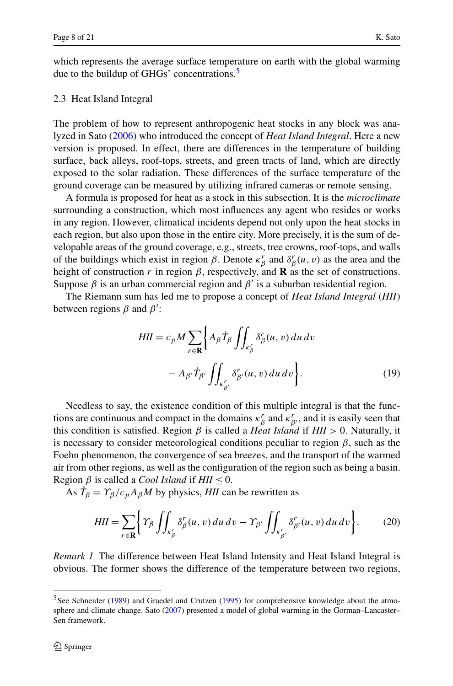<span id="page-7-0"></span>which represents the average surface temperature on earth with the global warming due to the buildup of GHGs' concentrations.<sup>[5](#page-7-1)</sup>

## 2.3 Heat Island Integral

The problem of how to represent anthropogenic heat stocks in any block was analyzed in Sato [\(2006](#page-20-13)) who introduced the concept of *Heat Island Integral*. Here a new version is proposed. In effect, there are differences in the temperature of building surface, back alleys, roof-tops, streets, and green tracts of land, which are directly exposed to the solar radiation. These differences of the surface temperature of the ground coverage can be measured by utilizing infrared cameras or remote sensing.

A formula is proposed for heat as a stock in this subsection. It is the *microclimate* surrounding a construction, which most influences any agent who resides or works in any region. However, climatical incidents depend not only upon the heat stocks in each region, but also upon those in the entire city. More precisely, it is the sum of developable areas of the ground coverage, e.g., streets, tree crowns, roof-tops, and walls of the buildings which exist in region  $\beta$ . Denote  $\kappa_{\beta}^{r}$  and  $\delta_{\beta}^{r}(u,v)$  as the area and the height of construction *r* in region  $\beta$ , respectively, and **R** as the set of constructions. Suppose  $\beta$  is an urban commercial region and  $\beta'$  is a suburban residential region.

The Riemann sum has led me to propose a concept of *Heat Island Integral* (*HII*) between regions *β* and *β* :

$$
HII = c_p M \sum_{r \in \mathbf{R}} \left\{ A_\beta \dot{T}_\beta \iint_{\kappa_\beta^r} \delta_\beta^r(u, v) du dv \right.  - A_{\beta'} \dot{T}_{\beta'} \iint_{\kappa_{\beta'}^r} \delta_{\beta'}^r(u, v) du dv \Big\}.
$$
 (19)

Needless to say, the existence condition of this multiple integral is that the functions are continuous and compact in the domains  $\kappa_{\beta}^{r}$  and  $\kappa_{\beta}^{r}$ , and it is easily seen that this condition is satisfied. Region *β* is called a *Heat Island* if *HII >* 0. Naturally, it is necessary to consider meteorological conditions peculiar to region  $\beta$ , such as the Foehn phenomenon, the convergence of sea breezes, and the transport of the warmed air from other regions, as well as the configuration of the region such as being a basin. Region  $\beta$  is called a *Cool Island* if  $HII \leq 0$ .

<span id="page-7-1"></span>As  $\dot{T}_{\beta} = \gamma_{\beta} / c_{p} A_{\beta} M$  by physics, *HII* can be rewritten as

$$
HII = \sum_{r \in \mathbf{R}} \left\{ \gamma_{\beta} \iint_{\kappa_{\beta}^{r}} \delta_{\beta}^{r}(u, v) du dv - \gamma_{\beta'} \iint_{\kappa_{\beta'}^{r}} \delta_{\beta'}^{r}(u, v) du dv \right\}.
$$
 (20)

*Remark 1* The difference between Heat Island Intensity and Heat Island Integral is obvious. The former shows the difference of the temperature between two regions,

<sup>&</sup>lt;sup>5</sup>See Schneider [\(1989](#page-20-21)) and Graedel and Crutzen ([1995](#page-20-22)) for comprehensive knowledge about the atmosphere and climate change. Sato [\(2007](#page-20-23)) presented a model of global warming in the Gorman–Lancaster– Sen framework.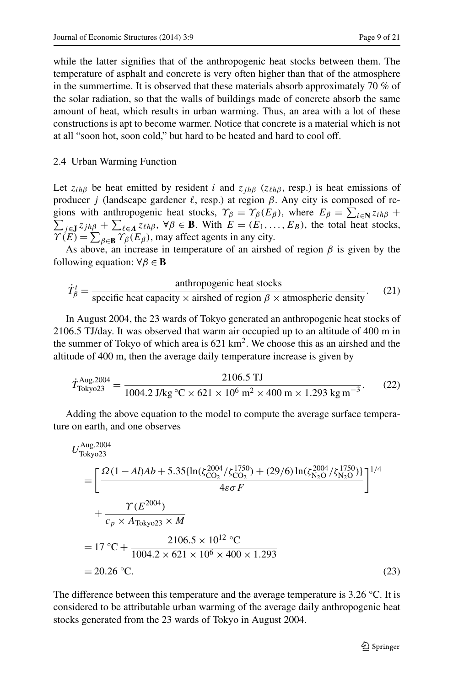while the latter signifies that of the anthropogenic heat stocks between them. The temperature of asphalt and concrete is very often higher than that of the atmosphere in the summertime. It is observed that these materials absorb approximately 70 % of the solar radiation, so that the walls of buildings made of concrete absorb the same amount of heat, which results in urban warming. Thus, an area with a lot of these constructions is apt to become warmer. Notice that concrete is a material which is not at all "soon hot, soon cold," but hard to be heated and hard to cool off.

## 2.4 Urban Warming Function

Let  $z_{ih\beta}$  be heat emitted by resident *i* and  $z_{ih\beta}$  ( $z_{ih\beta}$ , resp.) is heat emissions of producer *j* (landscape gardener  $\ell$ , resp.) at region  $\beta$ . Any city is composed of regions with anthropogenic heat stocks,  $\gamma_{\beta} = \gamma_{\beta}(E_{\beta})$ , where  $E_{\beta} = \sum_{i \in \mathbb{N}} z_{ih\beta} + \sum_{i \in \mathbb{N}} z_{ih\beta}$  $\sum_{j\in\mathbf{J}} z_{jh\beta} + \sum_{\ell\in\mathbf{\Lambda}} z_{\ell hf}, \forall \beta \in \mathbf{B}$ . With  $E = (E_1, \ldots, E_B)$ , the total heat stocks,  $\Upsilon(E) = \sum_{\beta \in \mathbf{B}} \Upsilon_{\beta}(E_{\beta})$ , may affect agents in any city.

As above, an increase in temperature of an airshed of region  $\beta$  is given by the following equation: ∀*β* ∈ **B**

$$
\dot{T}_{\beta}^{t} = \frac{\text{anthropogenic heat stocks}}{\text{specific heat capacity} \times \text{airshed of region } \beta \times \text{atmospheric density}}.
$$
 (21)

In August 2004, the 23 wards of Tokyo generated an anthropogenic heat stocks of 2106.5 TJ/day. It was observed that warm air occupied up to an altitude of 400 m in the summer of Tokyo of which area is  $621 \text{ km}^2$ . We choose this as an airshed and the altitude of 400 m, then the average daily temperature increase is given by

$$
\dot{T}_{\text{Tokyo23}}^{\text{Aug.2004}} = \frac{2106.5 \text{ TJ}}{1004.2 \text{ J/kg }^{\circ}\text{C} \times 621 \times 10^{6} \text{ m}^{2} \times 400 \text{ m} \times 1.293 \text{ kg m}^{-3}}.
$$
 (22)

Adding the above equation to the model to compute the average surface temperature on earth, and one observes

$$
U_{\text{Tokyo23}}^{\text{Aug.2004}} = \left[ \frac{\Omega (1 - Al)Ab + 5.35 \{ \ln(\zeta_{\text{CO}_2}^{2004} / \zeta_{\text{CO}_2}^{1750}) + (29/6) \ln(\zeta_{\text{N}_2\text{O}}^{2004} / \zeta_{\text{N}_2\text{O}}^{1750}) \}}{4\varepsilon \sigma F} \right]^{1/4} + \frac{\Upsilon (E^{2004})}{c_p \times A_{\text{Tokyo23}} \times M}
$$
  
= 17 °C +  $\frac{2106.5 \times 10^{12} °C}{1004.2 \times 621 \times 10^6 \times 400 \times 1.293}$   
= 20.26 °C. (23)

The difference between this temperature and the average temperature is 3.26 °C. It is considered to be attributable urban warming of the average daily anthropogenic heat stocks generated from the 23 wards of Tokyo in August 2004.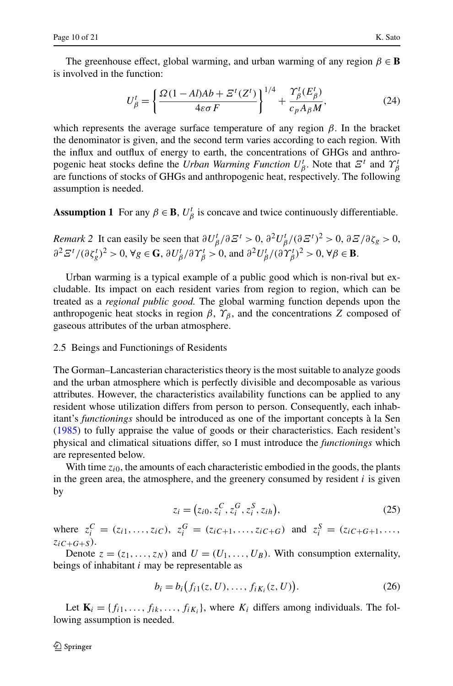$$
U_{\beta}^{t} = \left\{ \frac{\Omega(1 - A I) A b + \Xi^{t}(Z^{t})}{4 \varepsilon \sigma F} \right\}^{1/4} + \frac{\Upsilon_{\beta}^{t}(E_{\beta}^{t})}{c_{p} A_{\beta} M},
$$
(24)

which represents the average surface temperature of any region  $\beta$ . In the bracket the denominator is given, and the second term varies according to each region. With the influx and outflux of energy to earth, the concentrations of GHGs and anthropogenic heat stocks define the *Urban Warming Function*  $U^t_\beta$ . Note that  $\mathcal{Z}^t$  and  $\Upsilon^t_\beta$ are functions of stocks of GHGs and anthropogenic heat, respectively. The following assumption is needed.

# **Assumption 1** For any  $\beta \in \mathbf{B}$ ,  $U_{\beta}^{t}$  is concave and twice continuously differentiable.

*Remark* 2 It can easily be seen that  $\partial U^t_{\beta}/\partial E^t > 0$ ,  $\partial^2 U^t_{\beta}/(\partial E^t)^2 > 0$ ,  $\partial E/\partial \zeta_g > 0$ ,  $\partial^2 \mathcal{E}^t/(\partial \zeta_g^t)^2 > 0$ ,  $\forall g \in \mathbf{G}$ ,  $\partial U^t_{\beta}/\partial \Upsilon^t_{\beta} > 0$ , and  $\partial^2 U^t_{\beta}/(\partial \Upsilon^t_{\beta})^2 > 0$ ,  $\forall \beta \in \mathbf{B}$ .

Urban warming is a typical example of a public good which is non-rival but excludable. Its impact on each resident varies from region to region, which can be treated as a *regional public good.* The global warming function depends upon the anthropogenic heat stocks in region  $\beta$ ,  $\gamma_{\beta}$ , and the concentrations *Z* composed of gaseous attributes of the urban atmosphere.

# 2.5 Beings and Functionings of Residents

The Gorman–Lancasterian characteristics theory is the most suitable to analyze goods and the urban atmosphere which is perfectly divisible and decomposable as various attributes. However, the characteristics availability functions can be applied to any resident whose utilization differs from person to person. Consequently, each inhabitant's *functionings* should be introduced as one of the important concepts à la Sen [\(1985](#page-20-24)) to fully appraise the value of goods or their characteristics. Each resident's physical and climatical situations differ, so I must introduce the *functionings* which are represented below.

With time *zi*0, the amounts of each characteristic embodied in the goods, the plants in the green area, the atmosphere, and the greenery consumed by resident *i* is given by

$$
z_i = (z_{i0}, z_i^C, z_i^G, z_i^S, z_{ih}),
$$
\n(25)

where  $z_i^C = (z_{i1}, \ldots, z_{iC}), z_i^G = (z_{iC+1}, \ldots, z_{iC+G})$  and  $z_i^S = (z_{iC+G+1}, \ldots, z_{iC+G+G+G})$  $z_iC+G+S$ ).

Denote  $z = (z_1, \ldots, z_N)$  and  $U = (U_1, \ldots, U_B)$ . With consumption externality, beings of inhabitant *i* may be representable as

$$
b_i = b_i(f_{i1}(z, U), \dots, f_{iK_i}(z, U)).
$$
\n(26)

Let  $\mathbf{K}_i = \{f_{i1}, \ldots, f_{ik}, \ldots, f_{iK_i}\}$ , where  $K_i$  differs among individuals. The following assumption is needed.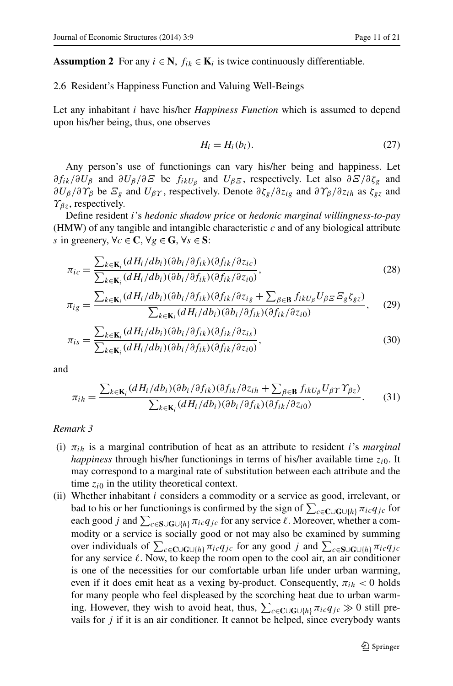**Assumption 2** For any  $i \in \mathbb{N}$ ,  $f_{ik} \in \mathbf{K}_i$  is twice continuously differentiable.

# 2.6 Resident's Happiness Function and Valuing Well-Beings

Let any inhabitant *i* have his/her *Happiness Function* which is assumed to depend upon his/her being, thus, one observes

$$
H_i = H_i(b_i). \tag{27}
$$

Any person's use of functionings can vary his/her being and happiness. Let *∂fik/∂Uβ* and *∂Uβ/∂Ξ* be *fikUβ* and *UβΞ* , respectively. Let also *∂Ξ/∂ζg* and *∂Uβ/∂Υβ* be *Ξg* and *UβΥ* , respectively. Denote *∂ζg/∂zig* and *∂Υβ/∂zih* as *ζgz* and *Υβz*, respectively.

Define resident *i*'s *hedonic shadow price* or *hedonic marginal willingness-to-pay* (HMW) of any tangible and intangible characteristic *c* and of any biological attribute *s* in greenery, ∀*c* ∈ **C**, ∀*g* ∈ **G**, ∀*s* ∈ **S**:

$$
\pi_{ic} = \frac{\sum_{k \in \mathbf{K}_i} (dH_i/db_i)(\partial b_i/\partial f_{ik})(\partial f_{ik}/\partial z_{ic})}{\sum_{k \in \mathbf{K}_i} (dH_i/db_i)(\partial b_i/\partial f_{ik})(\partial f_{ik}/\partial z_{i0})},\tag{28}
$$

$$
\pi_{ig} = \frac{\sum_{k \in \mathbf{K}_i} (dH_i/db_i)(\partial b_i/\partial f_{ik})(\partial f_{ik}/\partial z_{ig} + \sum_{\beta \in \mathbf{B}} f_{ikU_{\beta}} U_{\beta \Sigma} \Sigma_g \zeta_{gz})}{\sum_{k \in \mathbf{K}_i} (dH_i/db_i)(\partial b_i/\partial f_{ik})(\partial f_{ik}/\partial z_{i0})},
$$
(29)

$$
\pi_{is} = \frac{\sum_{k \in \mathbf{K}_i} (dH_i/db_i)(\partial b_i/\partial f_{ik})(\partial f_{ik}/\partial z_{is})}{\sum_{k \in \mathbf{K}_i} (dH_i/db_i)(\partial b_i/\partial f_{ik})(\partial f_{ik}/\partial z_{i0})},\tag{30}
$$

and

$$
\pi_{ih} = \frac{\sum_{k \in \mathbf{K}_i} (dH_i/db_i)(\partial b_i/\partial f_{ik})(\partial f_{ik}/\partial z_{ih} + \sum_{\beta \in \mathbf{B}} f_{ikU_{\beta}} U_{\beta} \gamma \gamma_{\beta z})}{\sum_{k \in \mathbf{K}_i} (dH_i/db_i)(\partial b_i/\partial f_{ik})(\partial f_{ik}/\partial z_{i0})}.
$$
(31)

## *Remark 3*

- (i) *πih* is a marginal contribution of heat as an attribute to resident *i*'s *marginal happiness* through his/her functionings in terms of his/her available time *zi*0. It may correspond to a marginal rate of substitution between each attribute and the time  $z_{i0}$  in the utility theoretical context.
- (ii) Whether inhabitant *i* considers a commodity or a service as good, irrelevant, or bad to his or her functionings is confirmed by the sign of  $\sum_{c \in \mathbf{C} \cup \mathbf{G} \cup \{h\}} \pi_{ic} q_{jc}$  for each good *j* and  $\sum_{c \in \mathbf{S} \cup \mathbf{G} \cup \{h\}} \pi_{ic} q_{jc}$  for any service  $\ell$ . Moreover, whether a commodity or a service is socially good or not may also be examined by summing over individuals of  $\sum_{c \in \mathbf{C} \cup \mathbf{G} \cup \{h\}} \pi_{ic} q_{jc}$  for any good *j* and  $\sum_{c \in \mathbf{S} \cup \mathbf{G} \cup \{h\}} \pi_{ic} q_{jc}$ for any service  $\ell$ . Now, to keep the room open to the cool air, an air conditioner is one of the necessities for our comfortable urban life under urban warming, even if it does emit heat as a vexing by-product. Consequently,  $\pi_{ih} < 0$  holds for many people who feel displeased by the scorching heat due to urban warming. However, they wish to avoid heat, thus,  $\sum_{c \in \text{C} \cup \text{G} \cup \{h\}} \pi_{ic} q_{jc} \gg 0$  still prevails for *j* if it is an air conditioner. It cannot be helped, since everybody wants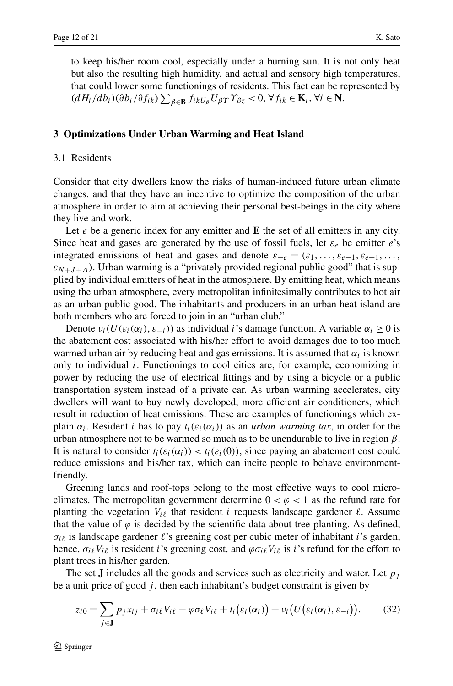to keep his/her room cool, especially under a burning sun. It is not only heat but also the resulting high humidity, and actual and sensory high temperatures, that could lower some functionings of residents. This fact can be represented by  $(dH_i/db_i)(\partial b_i/\partial f_{ik})\sum_{\beta\in\mathbf{B}}f_{ik}U_{\beta}U_{\beta\Upsilon}\Upsilon_{\beta z}<0, \forall f_{ik}\in\mathbf{K}_i, \forall i\in\mathbf{N}.$ 

#### **3 Optimizations Under Urban Warming and Heat Island**

#### 3.1 Residents

Consider that city dwellers know the risks of human-induced future urban climate changes, and that they have an incentive to optimize the composition of the urban atmosphere in order to aim at achieving their personal best-beings in the city where they live and work.

Let *e* be a generic index for any emitter and **E** the set of all emitters in any city. Since heat and gases are generated by the use of fossil fuels, let  $\varepsilon_e$  be emitter  $e$ 's integrated emissions of heat and gases and denote  $\varepsilon_{-e} = (\varepsilon_1, \ldots, \varepsilon_{e-1}, \varepsilon_{e+1}, \ldots,$  $\varepsilon_{N+J+\Lambda}$ ). Urban warming is a "privately provided regional public good" that is supplied by individual emitters of heat in the atmosphere. By emitting heat, which means using the urban atmosphere, every metropolitan infinitesimally contributes to hot air as an urban public good. The inhabitants and producers in an urban heat island are both members who are forced to join in an "urban club."

Denote  $v_i(U(\varepsilon_i(\alpha_i), \varepsilon_{-i}))$  as individual *i*'s damage function. A variable  $\alpha_i \geq 0$  is the abatement cost associated with his/her effort to avoid damages due to too much warmed urban air by reducing heat and gas emissions. It is assumed that  $\alpha_i$  is known only to individual *i*. Functionings to cool cities are, for example, economizing in power by reducing the use of electrical fittings and by using a bicycle or a public transportation system instead of a private car. As urban warming accelerates, city dwellers will want to buy newly developed, more efficient air conditioners, which result in reduction of heat emissions. These are examples of functionings which explain  $\alpha_i$ . Resident *i* has to pay  $t_i(\varepsilon_i(\alpha_i))$  as an *urban warming tax*, in order for the urban atmosphere not to be warmed so much as to be unendurable to live in region *β*. It is natural to consider  $t_i(\varepsilon_i(\alpha_i)) < t_i(\varepsilon_i(0))$ , since paying an abatement cost could reduce emissions and his/her tax, which can incite people to behave environmentfriendly.

Greening lands and roof-tops belong to the most effective ways to cool microclimates. The metropolitan government determine  $0 < \varphi < 1$  as the refund rate for planting the vegetation  $V_{i\ell}$  that resident *i* requests landscape gardener  $\ell$ . Assume that the value of  $\varphi$  is decided by the scientific data about tree-planting. As defined,  $\sigma_{i\ell}$  is landscape gardener  $\ell$ 's greening cost per cubic meter of inhabitant *i*'s garden, hence,  $\sigma_{i\ell}V_{i\ell}$  is resident *i*'s greening cost, and  $\varphi \sigma_{i\ell}V_{i\ell}$  is *i*'s refund for the effort to plant trees in his/her garden.

The set **J** includes all the goods and services such as electricity and water. Let *pj* be a unit price of good *j* , then each inhabitant's budget constraint is given by

$$
z_{i0} = \sum_{j \in \mathbf{J}} p_j x_{ij} + \sigma_{i\ell} V_{i\ell} - \varphi \sigma_{\ell} V_{i\ell} + t_i \big( \varepsilon_i(\alpha_i) \big) + v_i \big( U \big( \varepsilon_i(\alpha_i), \varepsilon_{-i} \big) \big). \tag{32}
$$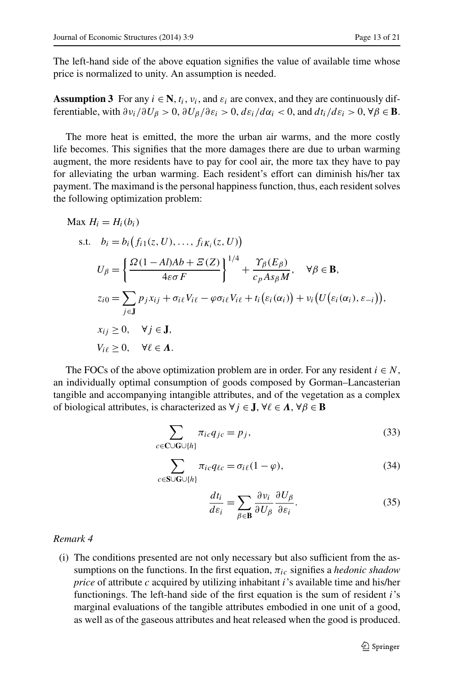The left-hand side of the above equation signifies the value of available time whose price is normalized to unity. An assumption is needed.

**Assumption 3** For any  $i \in \mathbb{N}$ ,  $t_i$ ,  $v_i$ , and  $\varepsilon_i$  are convex, and they are continuously differentiable, with *∂νi/∂Uβ >* 0, *∂Uβ/∂εi >* 0, *dεi/dαi <* 0, and *dti/dεi >* 0, ∀*β* ∈ **B**.

The more heat is emitted, the more the urban air warms, and the more costly life becomes. This signifies that the more damages there are due to urban warming augment, the more residents have to pay for cool air, the more tax they have to pay for alleviating the urban warming. Each resident's effort can diminish his/her tax payment. The maximand is the personal happiness function, thus, each resident solves the following optimization problem:

Max 
$$
H_i = H_i(b_i)
$$
  
\ns.t.  $b_i = b_i(f_{i1}(z, U), ..., f_{iK_i}(z, U))$   
\n
$$
U_\beta = \left\{ \frac{\Omega(1 - AI)Ab + \Xi(Z)}{4\varepsilon\sigma F} \right\}^{1/4} + \frac{\Upsilon_\beta(E_\beta)}{c_p As_\beta M}, \quad \forall \beta \in \mathbf{B},
$$
\n
$$
z_{i0} = \sum_{j \in \mathbf{J}} p_j x_{ij} + \sigma_{i\ell} V_{i\ell} - \varphi \sigma_{i\ell} V_{i\ell} + t_i(\varepsilon_i(\alpha_i)) + v_i(U(\varepsilon_i(\alpha_i), \varepsilon_{-i})),
$$
\n
$$
x_{ij} \ge 0, \quad \forall j \in \mathbf{J},
$$
\n
$$
V_{i\ell} \ge 0, \quad \forall \ell \in \mathbf{\Lambda}.
$$

The FOCs of the above optimization problem are in order. For any resident  $i \in N$ , an individually optimal consumption of goods composed by Gorman–Lancasterian tangible and accompanying intangible attributes, and of the vegetation as a complex of biological attributes, is characterized as  $\forall j \in J$ ,  $\forall \ell \in \Lambda$ ,  $\forall \beta \in B$ 

$$
\sum_{c \in \text{CUG} \cup \{h\}} \pi_{ic} q_{jc} = p_j,\tag{33}
$$

$$
\sum_{c \in \mathbf{S} \cup \mathbf{G} \cup \{h\}} \pi_{ic} q_{\ell c} = \sigma_{i\ell} (1 - \varphi),\tag{34}
$$

$$
\frac{dt_i}{d\varepsilon_i} = \sum_{\beta \in \mathbf{B}} \frac{\partial v_i}{\partial U_\beta} \frac{\partial U_\beta}{\partial \varepsilon_i}.
$$
 (35)

# *Remark 4*

(i) The conditions presented are not only necessary but also sufficient from the assumptions on the functions. In the first equation, *πic* signifies a *hedonic shadow price* of attribute *c* acquired by utilizing inhabitant *i*'s available time and his/her functionings. The left-hand side of the first equation is the sum of resident *i*'s marginal evaluations of the tangible attributes embodied in one unit of a good, as well as of the gaseous attributes and heat released when the good is produced.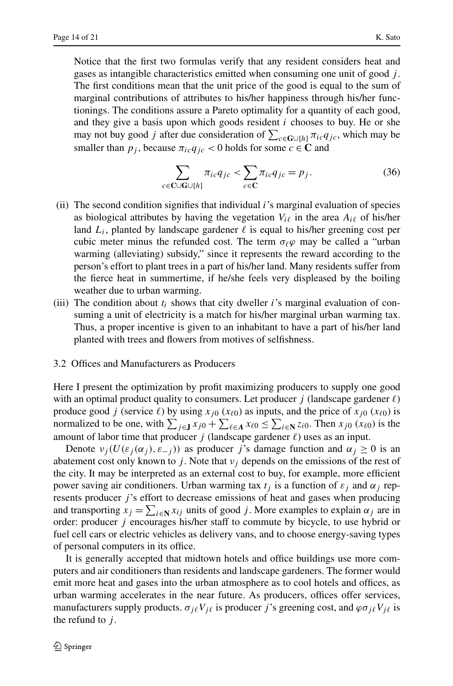Notice that the first two formulas verify that any resident considers heat and gases as intangible characteristics emitted when consuming one unit of good *j* . The first conditions mean that the unit price of the good is equal to the sum of marginal contributions of attributes to his/her happiness through his/her functionings. The conditions assure a Pareto optimality for a quantity of each good, and they give a basis upon which goods resident *i* chooses to buy. He or she may not buy good *j* after due consideration of  $\sum_{c \in \mathbf{G} \cup \{h\}} \pi_{ic} q_{jc}$ , which may be smaller than  $p_i$ , because  $\pi_{ic}q_{ic}$  < 0 holds for some  $c \in \mathbb{C}$  and

$$
\sum_{c \in \mathbf{CUG} \cup \{h\}} \pi_{ic} q_{jc} < \sum_{c \in \mathbf{C}} \pi_{ic} q_{jc} = p_j. \tag{36}
$$

- (ii) The second condition signifies that individual *i*'s marginal evaluation of species as biological attributes by having the vegetation  $V_{i\ell}$  in the area  $A_{i\ell}$  of his/her land  $L_i$ , planted by landscape gardener  $\ell$  is equal to his/her greening cost per cubic meter minus the refunded cost. The term  $\sigma_\ell \varphi$  may be called a "urban" warming (alleviating) subsidy," since it represents the reward according to the person's effort to plant trees in a part of his/her land. Many residents suffer from the fierce heat in summertime, if he/she feels very displeased by the boiling weather due to urban warming.
- (iii) The condition about  $t_i$  shows that city dweller *i*'s marginal evaluation of consuming a unit of electricity is a match for his/her marginal urban warming tax. Thus, a proper incentive is given to an inhabitant to have a part of his/her land planted with trees and flowers from motives of selfishness.

## 3.2 Offices and Manufacturers as Producers

Here I present the optimization by profit maximizing producers to supply one good with an optimal product quality to consumers. Let producer *j* (landscape gardener  $\ell$ ) produce good *j* (service  $\ell$ ) by using  $x_{j0}$  ( $x_{\ell 0}$ ) as inputs, and the price of  $x_{j0}$  ( $x_{\ell 0}$ ) is normalized to be one, with  $\sum_{j\in\mathbf{J}} x_{j0} + \sum_{\ell \in \mathbf{\Lambda}} x_{\ell 0} \le \sum_{i\in\mathbf{N}} z_{i0}$ . Then  $x_{j0}$  ( $x_{\ell 0}$ ) is the amount of labor time that producer  $j$  (landscape gardener  $\ell$ ) uses as an input.

Denote  $v_j(U(\varepsilon_j(\alpha_j), \varepsilon_{-j}))$  as producer *j*'s damage function and  $\alpha_j \ge 0$  is an abatement cost only known to *j*. Note that  $v_j$  depends on the emissions of the rest of the city. It may be interpreted as an external cost to buy, for example, more efficient power saving air conditioners. Urban warming tax  $t_j$  is a function of  $\varepsilon_j$  and  $\alpha_j$  represents producer *j* 's effort to decrease emissions of heat and gases when producing and transporting  $x_j = \sum_{i \in \mathbb{N}} x_{ij}$  units of good *j*. More examples to explain  $\alpha_j$  are in order: producer *j* encourages his/her staff to commute by bicycle, to use hybrid or fuel cell cars or electric vehicles as delivery vans, and to choose energy-saving types of personal computers in its office.

It is generally accepted that midtown hotels and office buildings use more computers and air conditioners than residents and landscape gardeners. The former would emit more heat and gases into the urban atmosphere as to cool hotels and offices, as urban warming accelerates in the near future. As producers, offices offer services, manufacturers supply products.  $\sigma_{i\ell}V_{j\ell}$  is producer *j*'s greening cost, and  $\varphi \sigma_{i\ell}V_{j\ell}$  is the refund to *j* .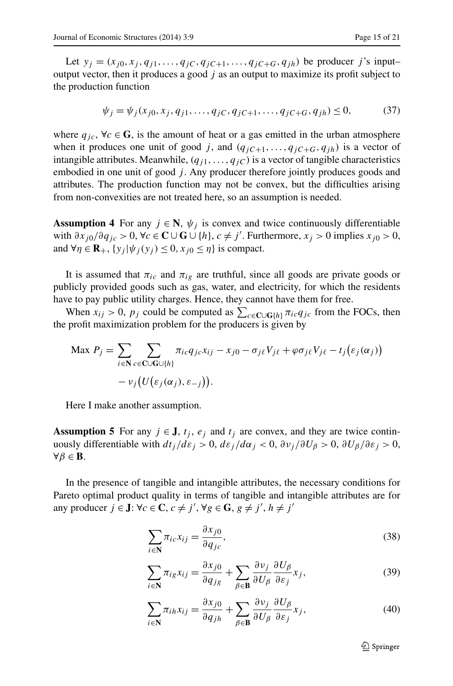Let  $y_j = (x_{j0}, x_j, q_{j1},...,q_{jC}, q_{jC+1},...,q_{jC+G}, q_{jh})$  be producer *j*'s input– output vector, then it produces a good  $j$  as an output to maximize its profit subject to the production function

$$
\psi_j = \psi_j(x_{j0}, x_j, q_{j1}, \dots, q_{jC}, q_{jC+1}, \dots, q_{jC+G}, q_{jh}) \le 0,
$$
\n(37)

where  $q_{jc}$ ,  $\forall c \in \mathbf{G}$ , is the amount of heat or a gas emitted in the urban atmosphere when it produces one unit of good *j*, and  $(q_{iC+1},...,q_{iC+G},q_{ih})$  is a vector of intangible attributes. Meanwhile,  $(q_{j1},...,q_{jC})$  is a vector of tangible characteristics embodied in one unit of good *j* . Any producer therefore jointly produces goods and attributes. The production function may not be convex, but the difficulties arising from non-convexities are not treated here, so an assumption is needed.

**Assumption 4** For any  $j \in \mathbb{N}$ ,  $\psi_j$  is convex and twice continuously differentiable with  $\partial x_{j0}/\partial q_{jc} > 0$ ,  $\forall c \in \mathbb{C} \cup \mathbb{G} \cup \{h\}$ ,  $c \neq j'$ . Furthermore,  $x_j > 0$  implies  $x_{j0} > 0$ , and  $\forall \eta \in \mathbf{R}_+$ ,  $\{y_i | \psi_i(y_i) \leq 0, x_{i0} \leq \eta\}$  is compact.

It is assumed that  $\pi_{ic}$  and  $\pi_{ig}$  are truthful, since all goods are private goods or publicly provided goods such as gas, water, and electricity, for which the residents have to pay public utility charges. Hence, they cannot have them for free.

When  $x_{ij} > 0$ ,  $p_j$  could be computed as  $\sum_{c \in \mathbb{C} \cup \mathbb{G}\{h\}} \pi_{ic} q_{jc}$  from the FOCs, then the profit maximization problem for the producers is given by

$$
\begin{aligned} \text{Max } P_j &= \sum_{i \in \mathbb{N}} \sum_{c \in \mathbb{C} \cup \mathbb{G} \cup \{h\}} \pi_{ic} q_{jc} x_{ij} - x_{j0} - \sigma_{j\ell} V_{j\ell} + \varphi \sigma_{j\ell} V_{j\ell} - t_j \big( \varepsilon_j(\alpha_j) \big) \\ &- v_j \big( U \big( \varepsilon_j(\alpha_j), \varepsilon_{-j} \big) \big). \end{aligned}
$$

Here I make another assumption.

**Assumption 5** For any  $j \in J$ ,  $t_j$ ,  $e_j$  and  $t_j$  are convex, and they are twice continuously differentiable with  $dt_j/d\varepsilon_j > 0$ ,  $d\varepsilon_j/d\alpha_j < 0$ ,  $\frac{\partial v_j}{\partial U_\beta} > 0$ ,  $\frac{\partial U_\beta}{\partial \varepsilon_j} > 0$ , ∀*β* ∈ **B**.

In the presence of tangible and intangible attributes, the necessary conditions for Pareto optimal product quality in terms of tangible and intangible attributes are for any producer  $j \in J$ :  $\forall c \in \mathbb{C}, c \neq j', \forall g \in \mathbb{G}, g \neq j', h \neq j'$ 

$$
\sum_{i \in \mathbf{N}} \pi_{ic} x_{ij} = \frac{\partial x_{j0}}{\partial q_{jc}},\tag{38}
$$

$$
\sum_{i \in \mathbf{N}} \pi_{ig} x_{ij} = \frac{\partial x_{j0}}{\partial q_{jg}} + \sum_{\beta \in \mathbf{B}} \frac{\partial v_j}{\partial U_\beta} \frac{\partial U_\beta}{\partial \varepsilon_j} x_j,
$$
(39)

$$
\sum_{i \in \mathbf{N}} \pi_{ih} x_{ij} = \frac{\partial x_{j0}}{\partial q_{jh}} + \sum_{\beta \in \mathbf{B}} \frac{\partial v_j}{\partial U_\beta} \frac{\partial U_\beta}{\partial \varepsilon_j} x_j,
$$
(40)

 $\mathcal{Q}$  Springer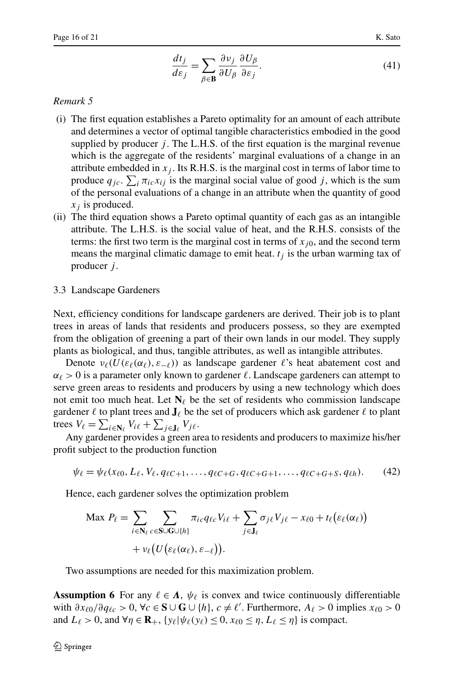$$
\frac{dt_j}{d\varepsilon_j} = \sum_{\beta \in \mathbf{B}} \frac{\partial v_j}{\partial U_\beta} \frac{\partial U_\beta}{\partial \varepsilon_j}.
$$
\n(41)

# *Remark 5*

- (i) The first equation establishes a Pareto optimality for an amount of each attribute and determines a vector of optimal tangible characteristics embodied in the good supplied by producer *j* . The L.H.S. of the first equation is the marginal revenue which is the aggregate of the residents' marginal evaluations of a change in an attribute embedded in  $x_j$ . Its R.H.S. is the marginal cost in terms of labor time to produce  $q_{jc}$ .  $\sum_i \pi_{ic} x_{ij}$  is the marginal social value of good *j*, which is the sum of the personal evaluations of a change in an attribute when the quantity of good *xj* is produced.
- (ii) The third equation shows a Pareto optimal quantity of each gas as an intangible attribute. The L.H.S. is the social value of heat, and the R.H.S. consists of the terms: the first two term is the marginal cost in terms of  $x_{i0}$ , and the second term means the marginal climatic damage to emit heat.  $t_i$  is the urban warming tax of producer *j* .

# 3.3 Landscape Gardeners

Next, efficiency conditions for landscape gardeners are derived. Their job is to plant trees in areas of lands that residents and producers possess, so they are exempted from the obligation of greening a part of their own lands in our model. They supply plants as biological, and thus, tangible attributes, as well as intangible attributes.

Denote  $v_{\ell}(U(\varepsilon_{\ell}(\alpha_{\ell}), \varepsilon_{-\ell}))$  as landscape gardener  $\ell$ 's heat abatement cost and  $\alpha_{\ell} > 0$  is a parameter only known to gardener  $\ell$ . Landscape gardeners can attempt to serve green areas to residents and producers by using a new technology which does not emit too much heat. Let  $N_\ell$  be the set of residents who commission landscape gardener  $\ell$  to plant trees and  $J_{\ell}$  be the set of producers which ask gardener  $\ell$  to plant trees  $V_{\ell} = \sum_{i \in \mathbb{N}_{\ell}} V_{i\ell} + \sum_{j \in \mathbf{J}_{\ell}} V_{j\ell}$ .

Any gardener provides a green area to residents and producers to maximize his/her profit subject to the production function

$$
\psi_{\ell} = \psi_{\ell}(x_{\ell 0}, L_{\ell}, V_{\ell}, q_{\ell C+1}, \dots, q_{\ell C+G}, q_{\ell C+G+1}, \dots, q_{\ell C+G+S}, q_{\ell h}). \tag{42}
$$

Hence, each gardener solves the optimization problem

$$
\begin{aligned} \text{Max } P_{\ell} &= \sum_{i \in \mathbb{N}_{\ell}} \sum_{c \in \mathbb{S} \cup \mathbb{G} \cup \{h\}} \pi_{ic} q_{\ell c} V_{i\ell} + \sum_{j \in \mathbf{J}_{\ell}} \sigma_{j\ell} V_{j\ell} - x_{\ell 0} + t_{\ell} \big( \varepsilon_{\ell}(\alpha_{\ell}) \big) \\ &+ v_{\ell} \big( U \big( \varepsilon_{\ell}(\alpha_{\ell}), \varepsilon_{-\ell} \big) \big). \end{aligned}
$$

Two assumptions are needed for this maximization problem.

**Assumption 6** For any  $\ell \in \Lambda$ ,  $\psi_{\ell}$  is convex and twice continuously differentiable with  $\partial x_{\ell 0}/\partial q_{\ell c} > 0$ ,  $\forall c \in \mathbf{S} \cup \mathbf{G} \cup \{h\}$ ,  $c \neq \ell'$ . Furthermore,  $A_{\ell} > 0$  implies  $x_{\ell 0} > 0$ and  $L_{\ell} > 0$ , and  $\forall \eta \in \mathbf{R}_+$ ,  $\{y_{\ell} | \psi_{\ell}(y_{\ell}) \leq 0, x_{\ell 0} \leq \eta, L_{\ell} \leq \eta\}$  is compact.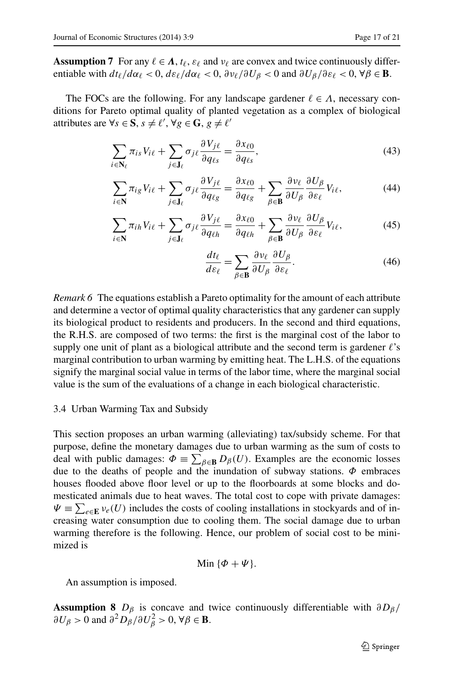**Assumption 7** For any  $\ell \in \Lambda$ ,  $t_{\ell}$ ,  $\varepsilon_{\ell}$  and  $v_{\ell}$  are convex and twice continuously differentiable with  $dt_{\ell}/d\alpha_{\ell} < 0$ ,  $d\varepsilon_{\ell}/d\alpha_{\ell} < 0$ ,  $\partial v_{\ell}/\partial U_{\beta} < 0$  and  $\partial U_{\beta}/\partial \varepsilon_{\ell} < 0$ ,  $\forall \beta \in \mathbf{B}$ .

The FOCs are the following. For any landscape gardener  $\ell \in \Lambda$ , necessary conditions for Pareto optimal quality of planted vegetation as a complex of biological attributes are ∀*s* ∈ **S**, *s*  $\neq$   $\ell'$ , ∀*g* ∈ **G**, *g*  $\neq$   $\ell'$ 

$$
\sum_{i \in \mathbf{N}_{\ell}} \pi_{is} V_{i\ell} + \sum_{j \in \mathbf{J}_{\ell}} \sigma_{j\ell} \frac{\partial V_{j\ell}}{\partial q_{\ell s}} = \frac{\partial x_{\ell 0}}{\partial q_{\ell s}},\tag{43}
$$

$$
\sum_{i \in \mathbf{N}} \pi_{ig} V_{i\ell} + \sum_{j \in \mathbf{J}_{\ell}} \sigma_{j\ell} \frac{\partial V_{j\ell}}{\partial q_{\ell g}} = \frac{\partial x_{\ell 0}}{\partial q_{\ell g}} + \sum_{\beta \in \mathbf{B}} \frac{\partial v_{\ell}}{\partial U_{\beta}} \frac{\partial U_{\beta}}{\partial \varepsilon_{\ell}} V_{i\ell},
$$
(44)

$$
\sum_{i \in \mathbf{N}} \pi_{ih} V_{i\ell} + \sum_{j \in \mathbf{J}_{\ell}} \sigma_{j\ell} \frac{\partial V_{j\ell}}{\partial q_{\ell h}} = \frac{\partial x_{\ell 0}}{\partial q_{\ell h}} + \sum_{\beta \in \mathbf{B}} \frac{\partial v_{\ell}}{\partial U_{\beta}} \frac{\partial U_{\beta}}{\partial \varepsilon_{\ell}} V_{i\ell},
$$
(45)

$$
\frac{dt_{\ell}}{d\varepsilon_{\ell}} = \sum_{\beta \in \mathbf{B}} \frac{\partial v_{\ell}}{\partial U_{\beta}} \frac{\partial U_{\beta}}{\partial \varepsilon_{\ell}}.
$$
 (46)

*Remark 6* The equations establish a Pareto optimality for the amount of each attribute and determine a vector of optimal quality characteristics that any gardener can supply its biological product to residents and producers. In the second and third equations, the R.H.S. are composed of two terms: the first is the marginal cost of the labor to supply one unit of plant as a biological attribute and the second term is gardener  $\ell$ 's marginal contribution to urban warming by emitting heat. The L.H.S. of the equations signify the marginal social value in terms of the labor time, where the marginal social value is the sum of the evaluations of a change in each biological characteristic.

#### 3.4 Urban Warming Tax and Subsidy

This section proposes an urban warming (alleviating) tax/subsidy scheme. For that purpose, define the monetary damages due to urban warming as the sum of costs to deal with public damages:  $\Phi = \sum_{\beta \in \mathbf{B}} D_{\beta}(U)$ . Examples are the economic losses due to the deaths of people and the inundation of subway stations. *Φ* embraces houses flooded above floor level or up to the floorboards at some blocks and domesticated animals due to heat waves. The total cost to cope with private damages:  $\Psi \equiv \sum_{e \in E} v_e(U)$  includes the costs of cooling installations in stockyards and of increasing water consumption due to cooling them. The social damage due to urban warming therefore is the following. Hence, our problem of social cost to be minimized is

Min 
$$
\{\Phi + \Psi\}
$$
.

An assumption is imposed.

**Assumption 8**  $D_\beta$  is concave and twice continuously differentiable with  $\partial D_\beta$ /  $∂Uβ > 0$  and  $∂<sup>2</sup>D<sub>β</sub>/∂U<sub>β</sub><sup>2</sup> > 0, ∀β ∈ **B**.$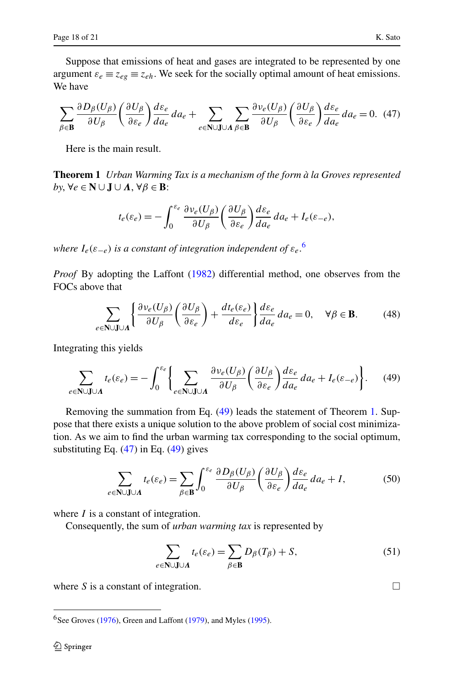<span id="page-17-3"></span><span id="page-17-2"></span>Suppose that emissions of heat and gases are integrated to be represented by one argument  $\varepsilon_e \equiv z_{eg} \equiv z_{eh}$ . We seek for the socially optimal amount of heat emissions. We have

$$
\sum_{\beta \in \mathbf{B}} \frac{\partial D_{\beta}(U_{\beta})}{\partial U_{\beta}} \left( \frac{\partial U_{\beta}}{\partial \varepsilon_{e}} \right) \frac{d\varepsilon_{e}}{da_{e}} da_{e} + \sum_{e \in \mathbf{N} \cup \mathbf{J} \cup \mathbf{\Lambda}} \sum_{\beta \in \mathbf{B}} \frac{\partial v_{e}(U_{\beta})}{\partial U_{\beta}} \left( \frac{\partial U_{\beta}}{\partial \varepsilon_{e}} \right) \frac{d\varepsilon_{e}}{da_{e}} da_{e} = 0. \tag{47}
$$

Here is the main result.

**Theorem 1** *Urban Warming Tax is a mechanism of the form à la Groves represented by*, ∀*e* ∈ **N** ∪ **J** ∪ *Λ*, ∀*β* ∈ **B**:

<span id="page-17-1"></span>
$$
t_e(\varepsilon_e) = -\int_0^{\varepsilon_e} \frac{\partial v_e(U_\beta)}{\partial U_\beta} \left(\frac{\partial U_\beta}{\partial \varepsilon_e}\right) \frac{d\varepsilon_e}{d a_e} \, da_e + I_e(\varepsilon_{-e}),
$$

*where Ie(ε*−*e) is a constant of integration independent of εe*. [6](#page-17-0)

*Proof* By adopting the Laffont ([1982\)](#page-20-25) differential method, one observes from the FOCs above that

$$
\sum_{e \in \mathbf{N} \cup \mathbf{J} \cup \mathbf{\Lambda}} \left\{ \frac{\partial v_e(U_\beta)}{\partial U_\beta} \left( \frac{\partial U_\beta}{\partial \varepsilon_e} \right) + \frac{dt_e(\varepsilon_e)}{d\varepsilon_e} \right\} \frac{d\varepsilon_e}{da_e} da_e = 0, \quad \forall \beta \in \mathbf{B}.
$$
 (48)

Integrating this yields

$$
\sum_{e \in \mathbf{N} \cup \mathbf{J} \cup \mathbf{\Lambda}} t_e(\varepsilon_e) = -\int_0^{\varepsilon_e} \left\{ \sum_{e \in \mathbf{N} \cup \mathbf{J} \cup \mathbf{\Lambda}} \frac{\partial v_e(U_\beta)}{\partial U_\beta} \left( \frac{\partial U_\beta}{\partial \varepsilon_e} \right) \frac{d\varepsilon_e}{da_e} da_e + I_e(\varepsilon_{-e}) \right\}.
$$
 (49)

Removing the summation from Eq. ([49\)](#page-17-1) leads the statement of Theorem [1](#page-17-2). Suppose that there exists a unique solution to the above problem of social cost minimization. As we aim to find the urban warming tax corresponding to the social optimum, substituting Eq.  $(47)$  $(47)$  in Eq.  $(49)$  $(49)$  gives

$$
\sum_{e \in \mathbf{N} \cup \mathbf{J} \cup \mathbf{\Lambda}} t_e(\varepsilon_e) = \sum_{\beta \in \mathbf{B}} \int_0^{\varepsilon_e} \frac{\partial D_\beta(U_\beta)}{\partial U_\beta} \left( \frac{\partial U_\beta}{\partial \varepsilon_e} \right) \frac{d\varepsilon_e}{da_e} da_e + I,\tag{50}
$$

<span id="page-17-0"></span>where *I* is a constant of integration.

Consequently, the sum of *urban warming tax* is represented by

$$
\sum_{e \in \mathbb{N} \cup \mathbb{J} \cup \Lambda} t_e(\varepsilon_e) = \sum_{\beta \in \mathbb{B}} D_{\beta}(T_{\beta}) + S,\tag{51}
$$

where  $S$  is a constant of integration.  $\Box$ 

 $6$ See Groves ([1976\)](#page-20-26), Green and Laffont ([1979](#page-20-27)), and Myles [\(1995](#page-20-28)).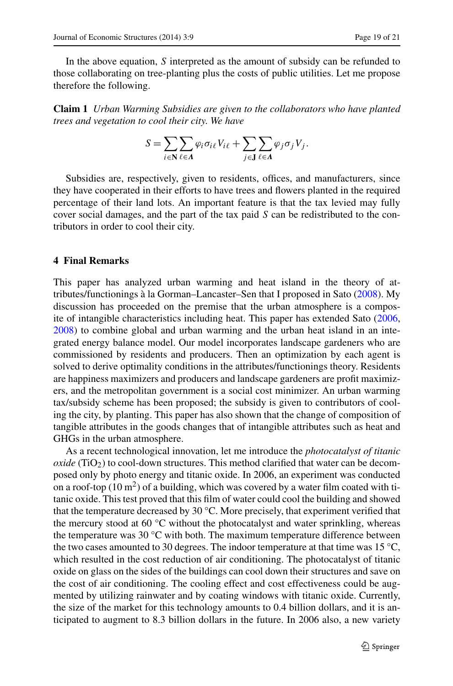In the above equation, *S* interpreted as the amount of subsidy can be refunded to those collaborating on tree-planting plus the costs of public utilities. Let me propose therefore the following.

**Claim 1** *Urban Warming Subsidies are given to the collaborators who have planted trees and vegetation to cool their city*. *We have*

$$
S = \sum_{i \in \mathbf{N}} \sum_{\ell \in \mathbf{\Lambda}} \varphi_i \sigma_{i\ell} V_{i\ell} + \sum_{j \in \mathbf{J}} \sum_{\ell \in \mathbf{\Lambda}} \varphi_j \sigma_j V_j.
$$

Subsidies are, respectively, given to residents, offices, and manufacturers, since they have cooperated in their efforts to have trees and flowers planted in the required percentage of their land lots. An important feature is that the tax levied may fully cover social damages, and the part of the tax paid *S* can be redistributed to the contributors in order to cool their city.

### **4 Final Remarks**

This paper has analyzed urban warming and heat island in the theory of attributes/functionings à la Gorman–Lancaster–Sen that I proposed in Sato ([2008\)](#page-20-14). My discussion has proceeded on the premise that the urban atmosphere is a composite of intangible characteristics including heat. This paper has extended Sato [\(2006](#page-20-13), [2008\)](#page-20-14) to combine global and urban warming and the urban heat island in an integrated energy balance model. Our model incorporates landscape gardeners who are commissioned by residents and producers. Then an optimization by each agent is solved to derive optimality conditions in the attributes/functionings theory. Residents are happiness maximizers and producers and landscape gardeners are profit maximizers, and the metropolitan government is a social cost minimizer. An urban warming tax/subsidy scheme has been proposed; the subsidy is given to contributors of cooling the city, by planting. This paper has also shown that the change of composition of tangible attributes in the goods changes that of intangible attributes such as heat and GHGs in the urban atmosphere.

As a recent technological innovation, let me introduce the *photocatalyst of titanic*  $oxide$  (TiO<sub>2</sub>) to cool-down structures. This method clarified that water can be decomposed only by photo energy and titanic oxide. In 2006, an experiment was conducted on a roof-top (10  $\rm m^2$ ) of a building, which was covered by a water film coated with titanic oxide. This test proved that this film of water could cool the building and showed that the temperature decreased by 30 °C. More precisely, that experiment verified that the mercury stood at 60 $\degree$ C without the photocatalyst and water sprinkling, whereas the temperature was 30 °C with both. The maximum temperature difference between the two cases amounted to 30 degrees. The indoor temperature at that time was 15 °C, which resulted in the cost reduction of air conditioning. The photocatalyst of titanic oxide on glass on the sides of the buildings can cool down their structures and save on the cost of air conditioning. The cooling effect and cost effectiveness could be augmented by utilizing rainwater and by coating windows with titanic oxide. Currently, the size of the market for this technology amounts to 0.4 billion dollars, and it is anticipated to augment to 8.3 billion dollars in the future. In 2006 also, a new variety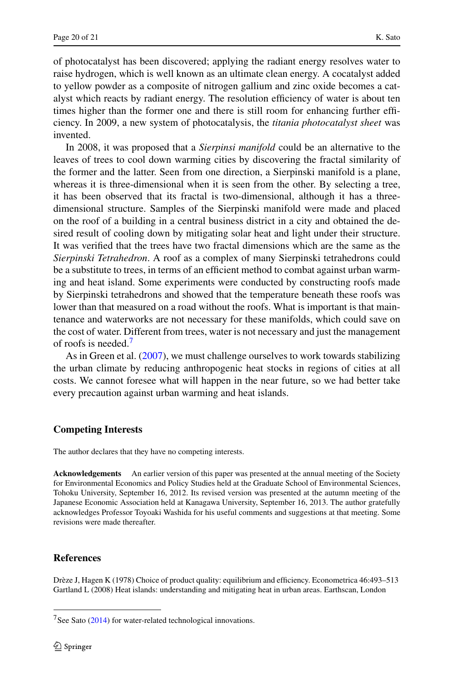of photocatalyst has been discovered; applying the radiant energy resolves water to raise hydrogen, which is well known as an ultimate clean energy. A cocatalyst added to yellow powder as a composite of nitrogen gallium and zinc oxide becomes a catalyst which reacts by radiant energy. The resolution efficiency of water is about ten times higher than the former one and there is still room for enhancing further efficiency. In 2009, a new system of photocatalysis, the *titania photocatalyst sheet* was invented.

In 2008, it was proposed that a *Sierpinsi manifold* could be an alternative to the leaves of trees to cool down warming cities by discovering the fractal similarity of the former and the latter. Seen from one direction, a Sierpinski manifold is a plane, whereas it is three-dimensional when it is seen from the other. By selecting a tree, it has been observed that its fractal is two-dimensional, although it has a threedimensional structure. Samples of the Sierpinski manifold were made and placed on the roof of a building in a central business district in a city and obtained the desired result of cooling down by mitigating solar heat and light under their structure. It was verified that the trees have two fractal dimensions which are the same as the *Sierpinski Tetrahedron*. A roof as a complex of many Sierpinski tetrahedrons could be a substitute to trees, in terms of an efficient method to combat against urban warming and heat island. Some experiments were conducted by constructing roofs made by Sierpinski tetrahedrons and showed that the temperature beneath these roofs was lower than that measured on a road without the roofs. What is important is that maintenance and waterworks are not necessary for these manifolds, which could save on the cost of water. Different from trees, water is not necessary and just the management of roofs is needed.<sup>7</sup>

As in Green et al. ([2007\)](#page-20-29), we must challenge ourselves to work towards stabilizing the urban climate by reducing anthropogenic heat stocks in regions of cities at all costs. We cannot foresee what will happen in the near future, so we had better take every precaution against urban warming and heat islands.

## **Competing Interests**

The author declares that they have no competing interests.

<span id="page-19-1"></span><span id="page-19-0"></span>**Acknowledgements** An earlier version of this paper was presented at the annual meeting of the Society for Environmental Economics and Policy Studies held at the Graduate School of Environmental Sciences, Tohoku University, September 16, 2012. Its revised version was presented at the autumn meeting of the Japanese Economic Association held at Kanagawa University, September 16, 2013. The author gratefully acknowledges Professor Toyoaki Washida for his useful comments and suggestions at that meeting. Some revisions were made thereafter.

# <span id="page-19-2"></span>**References**

Drèze J, Hagen K (1978) Choice of product quality: equilibrium and efficiency. Econometrica 46:493–513 Gartland L (2008) Heat islands: understanding and mitigating heat in urban areas. Earthscan, London

 $7$ See Sato [\(2014\)](#page-20-30) for water-related technological innovations.